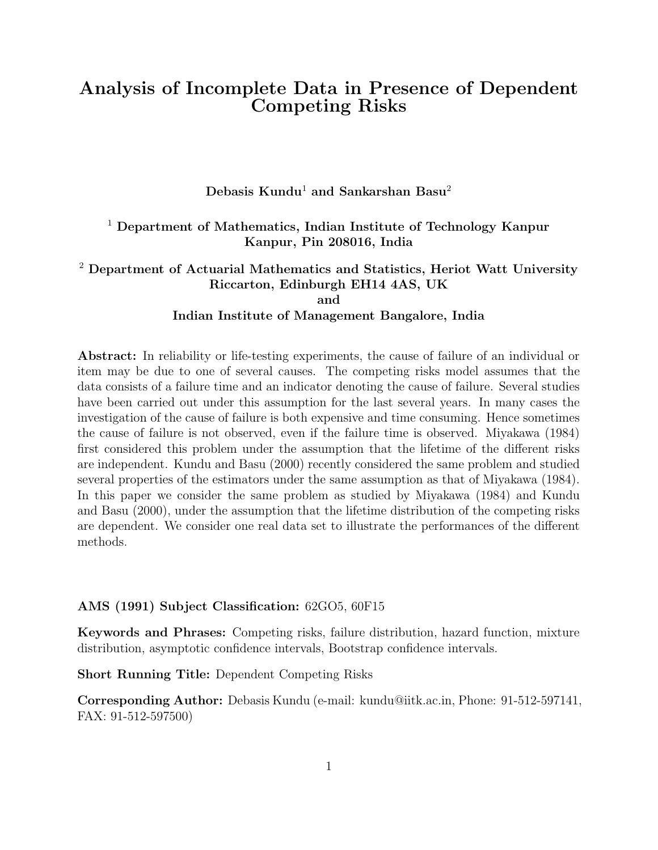# Analysis of Incomplete Data in Presence of Dependent Competing Risks

Debasis Kundu<sup>1</sup> and Sankarshan Basu<sup>2</sup>

## <sup>1</sup> Department of Mathematics, Indian Institute of Technology Kanpur Kanpur, Pin 208016, India

## $2$  Department of Actuarial Mathematics and Statistics, Heriot Watt University Riccarton, Edinburgh EH14 4AS, UK and Indian Institute of Management Bangalore, India

Abstract: In reliability or life-testing experiments, the cause of failure of an individual or item may be due to one of several causes. The competing risks model assumes that the data consists of a failure time and an indicator denoting the cause of failure. Several studies have been carried out under this assumption for the last several years. In many cases the investigation of the cause of failure is both expensive and time consuming. Hence sometimes the cause of failure is not observed, even if the failure time is observed. Miyakawa (1984) first considered this problem under the assumption that the lifetime of the different risks are independent. Kundu and Basu (2000) recently considered the same problem and studied several properties of the estimators under the same assumption as that of Miyakawa (1984). In this paper we consider the same problem as studied by Miyakawa (1984) and Kundu and Basu (2000), under the assumption that the lifetime distribution of the competing risks are dependent. We consider one real data set to illustrate the performances of the different methods.

### AMS (1991) Subject Classification: 62GO5, 60F15

Keywords and Phrases: Competing risks, failure distribution, hazard function, mixture distribution, asymptotic confidence intervals, Bootstrap confidence intervals.

Short Running Title: Dependent Competing Risks

Corresponding Author: Debasis Kundu (e-mail: kundu@iitk.ac.in, Phone: 91-512-597141, FAX: 91-512-597500)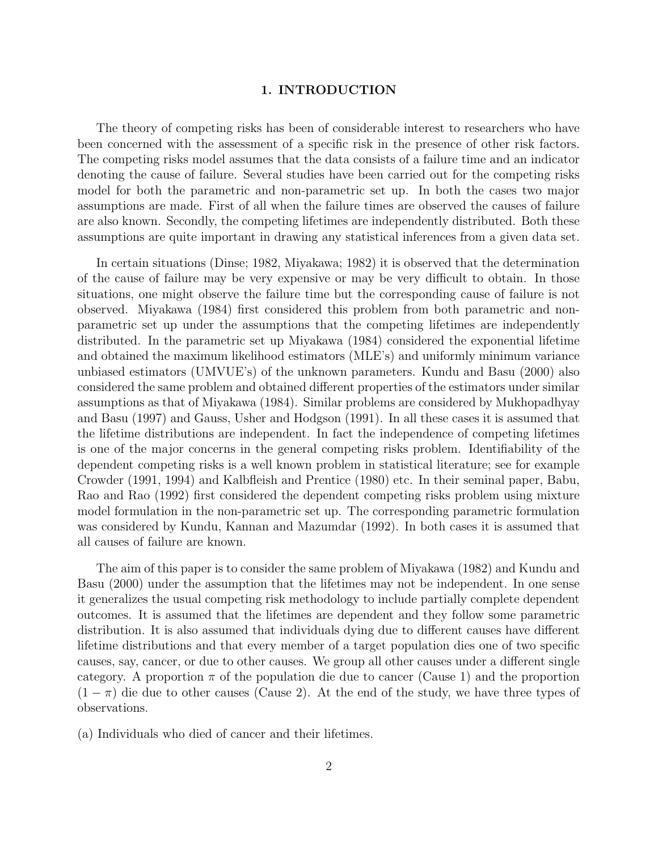#### 1. INTRODUCTION

The theory of competing risks has been of considerable interest to researchers who have been concerned with the assessment of a specific risk in the presence of other risk factors. The competing risks model assumes that the data consists of a failure time and an indicator denoting the cause of failure. Several studies have been carried out for the competing risks model for both the parametric and non-parametric set up. In both the cases two major assumptions are made. First of all when the failure times are observed the causes of failure are also known. Secondly, the competing lifetimes are independently distributed. Both these assumptions are quite important in drawing any statistical inferences from a given data set.

In certain situations (Dinse; 1982, Miyakawa; 1982) it is observed that the determination of the cause of failure may be very expensive or may be very difficult to obtain. In those situations, one might observe the failure time but the corresponding cause of failure is not observed. Miyakawa (1984) first considered this problem from both parametric and nonparametric set up under the assumptions that the competing lifetimes are independently distributed. In the parametric set up Miyakawa (1984) considered the exponential lifetime and obtained the maximum likelihood estimators (MLE's) and uniformly minimum variance unbiased estimators (UMVUE's) of the unknown parameters. Kundu and Basu (2000) also considered the same problem and obtained different properties of the estimators under similar assumptions as that of Miyakawa (1984). Similar problems are considered by Mukhopadhyay and Basu (1997) and Gauss, Usher and Hodgson (1991). In all these cases it is assumed that the lifetime distributions are independent. In fact the independence of competing lifetimes is one of the major concerns in the general competing risks problem. Identifiability of the dependent competing risks is a well known problem in statistical literature; see for example Crowder (1991, 1994) and Kalbfleish and Prentice (1980) etc. In their seminal paper, Babu, Rao and Rao (1992) first considered the dependent competing risks problem using mixture model formulation in the non-parametric set up. The corresponding parametric formulation was considered by Kundu, Kannan and Mazumdar (1992). In both cases it is assumed that all causes of failure are known.

The aim of this paper is to consider the same problem of Miyakawa (1982) and Kundu and Basu (2000) under the assumption that the lifetimes may not be independent. In one sense it generalizes the usual competing risk methodology to include partially complete dependent outcomes. It is assumed that the lifetimes are dependent and they follow some parametric distribution. It is also assumed that individuals dying due to different causes have different lifetime distributions and that every member of a target population dies one of two specific causes, say, cancer, or due to other causes. We group all other causes under a different single category. A proportion  $\pi$  of the population die due to cancer (Cause 1) and the proportion  $(1 - \pi)$  die due to other causes (Cause 2). At the end of the study, we have three types of observations.

(a) Individuals who died of cancer and their lifetimes.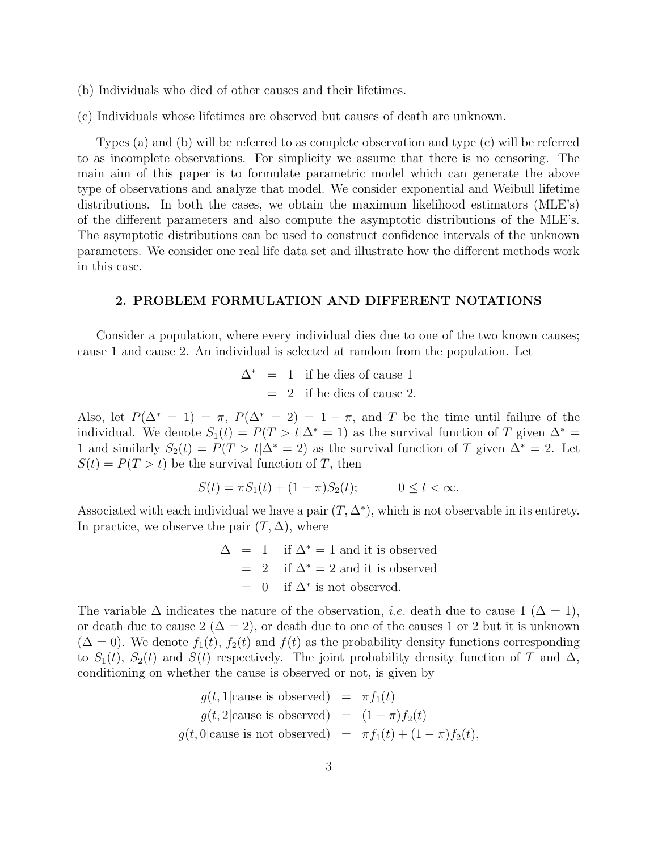- (b) Individuals who died of other causes and their lifetimes.
- (c) Individuals whose lifetimes are observed but causes of death are unknown.

Types (a) and (b) will be referred to as complete observation and type (c) will be referred to as incomplete observations. For simplicity we assume that there is no censoring. The main aim of this paper is to formulate parametric model which can generate the above type of observations and analyze that model. We consider exponential and Weibull lifetime distributions. In both the cases, we obtain the maximum likelihood estimators (MLE's) of the different parameters and also compute the asymptotic distributions of the MLE's. The asymptotic distributions can be used to construct confidence intervals of the unknown parameters. We consider one real life data set and illustrate how the different methods work in this case.

## 2. PROBLEM FORMULATION AND DIFFERENT NOTATIONS

Consider a population, where every individual dies due to one of the two known causes; cause 1 and cause 2. An individual is selected at random from the population. Let

$$
\Delta^* = 1
$$
 if he dies of cause 1  
= 2 if he dies of cause 2.

Also, let  $P(\Delta^*=1) = \pi$ ,  $P(\Delta^*=2) = 1 - \pi$ , and T be the time until failure of the individual. We denote  $S_1(t) = P(T > t | \Delta^* = 1)$  as the survival function of T given  $\Delta^* =$ 1 and similarly  $S_2(t) = P(T > t | \Delta^* = 2)$  as the survival function of T given  $\Delta^* = 2$ . Let  $S(t) = P(T > t)$  be the survival function of T, then

$$
S(t) = \pi S_1(t) + (1 - \pi)S_2(t); \qquad 0 \le t < \infty.
$$

Associated with each individual we have a pair  $(T, \Delta^*)$ , which is not observable in its entirety. In practice, we observe the pair  $(T, \Delta)$ , where

> $\Delta$  = 1 if  $\Delta^*$  = 1 and it is observed  $= 2$  if  $\Delta^* = 2$  and it is observed  $= 0$  if  $\Delta^*$  is not observed.

The variable  $\Delta$  indicates the nature of the observation, *i.e.* death due to cause 1 ( $\Delta = 1$ ), or death due to cause  $2 (\Delta = 2)$ , or death due to one of the causes 1 or 2 but it is unknown  $(\Delta = 0)$ . We denote  $f_1(t)$ ,  $f_2(t)$  and  $f(t)$  as the probability density functions corresponding to  $S_1(t)$ ,  $S_2(t)$  and  $S(t)$  respectively. The joint probability density function of T and  $\Delta$ , conditioning on whether the cause is observed or not, is given by

$$
g(t, 1 | \text{cause is observed}) = \pi f_1(t)
$$
  
\n
$$
g(t, 2 | \text{cause is observed}) = (1 - \pi) f_2(t)
$$
  
\n
$$
g(t, 0 | \text{cause is not observed}) = \pi f_1(t) + (1 - \pi) f_2(t),
$$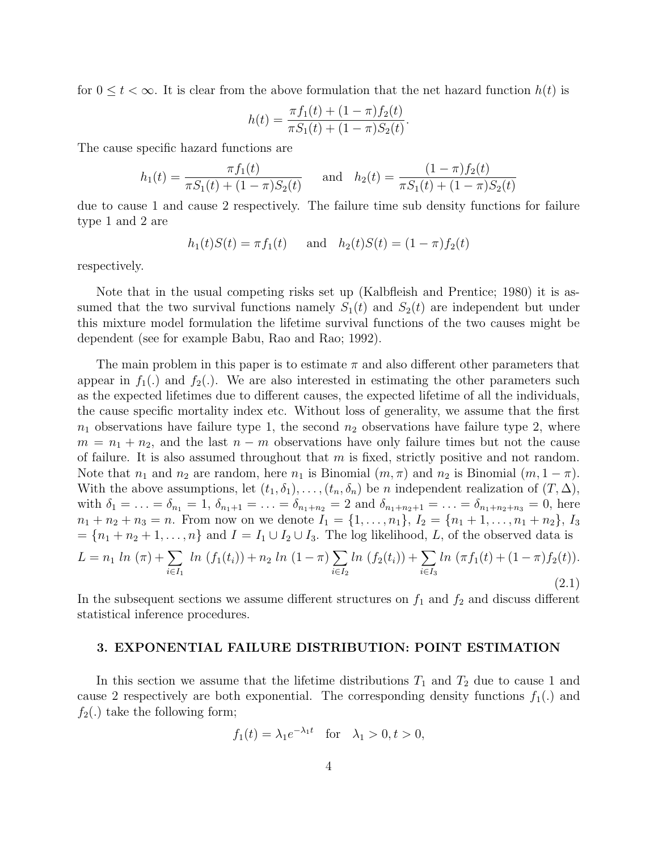for  $0 \leq t < \infty$ . It is clear from the above formulation that the net hazard function  $h(t)$  is

$$
h(t) = \frac{\pi f_1(t) + (1 - \pi) f_2(t)}{\pi S_1(t) + (1 - \pi) S_2(t)}
$$

.

The cause specific hazard functions are

$$
h_1(t) = \frac{\pi f_1(t)}{\pi S_1(t) + (1 - \pi)S_2(t)} \quad \text{and} \quad h_2(t) = \frac{(1 - \pi)f_2(t)}{\pi S_1(t) + (1 - \pi)S_2(t)}
$$

due to cause 1 and cause 2 respectively. The failure time sub density functions for failure type 1 and 2 are

$$
h_1(t)S(t) = \pi f_1(t)
$$
 and  $h_2(t)S(t) = (1 - \pi)f_2(t)$ 

respectively.

Note that in the usual competing risks set up (Kalbfleish and Prentice; 1980) it is assumed that the two survival functions namely  $S_1(t)$  and  $S_2(t)$  are independent but under this mixture model formulation the lifetime survival functions of the two causes might be dependent (see for example Babu, Rao and Rao; 1992).

The main problem in this paper is to estimate  $\pi$  and also different other parameters that appear in  $f_1(.)$  and  $f_2(.)$ . We are also interested in estimating the other parameters such as the expected lifetimes due to different causes, the expected lifetime of all the individuals, the cause specific mortality index etc. Without loss of generality, we assume that the first  $n_1$  observations have failure type 1, the second  $n_2$  observations have failure type 2, where  $m = n_1 + n_2$ , and the last  $n - m$  observations have only failure times but not the cause of failure. It is also assumed throughout that  $m$  is fixed, strictly positive and not random. Note that  $n_1$  and  $n_2$  are random, here  $n_1$  is Binomial  $(m, \pi)$  and  $n_2$  is Binomial  $(m, 1 - \pi)$ . With the above assumptions, let  $(t_1, \delta_1), \ldots, (t_n, \delta_n)$  be *n* independent realization of  $(T, \Delta)$ , with  $\delta_1 = \ldots = \delta_{n_1} = 1$ ,  $\delta_{n_1+1} = \ldots = \delta_{n_1+n_2} = 2$  and  $\delta_{n_1+n_2+1} = \ldots = \delta_{n_1+n_2+n_3} = 0$ , here  $n_1 + n_2 + n_3 = n$ . From now on we denote  $I_1 = \{1, ..., n_1\}$ ,  $I_2 = \{n_1 + 1, ..., n_1 + n_2\}$ ,  $I_3$  $=\{n_1+n_2+1,\ldots,n\}$  and  $I=I_1\cup I_2\cup I_3$ . The log likelihood, L, of the observed data is

$$
L = n_1 \ln (\pi) + \sum_{i \in I_1} \ln (f_1(t_i)) + n_2 \ln (1 - \pi) \sum_{i \in I_2} \ln (f_2(t_i)) + \sum_{i \in I_3} \ln (\pi f_1(t) + (1 - \pi) f_2(t)).
$$
\n(2.1)

In the subsequent sections we assume different structures on  $f_1$  and  $f_2$  and discuss different statistical inference procedures.

#### 3. EXPONENTIAL FAILURE DISTRIBUTION: POINT ESTIMATION

In this section we assume that the lifetime distributions  $T_1$  and  $T_2$  due to cause 1 and cause 2 respectively are both exponential. The corresponding density functions  $f_1(.)$  and  $f_2(.)$  take the following form;

$$
f_1(t) = \lambda_1 e^{-\lambda_1 t} \quad \text{for} \quad \lambda_1 > 0, t > 0,
$$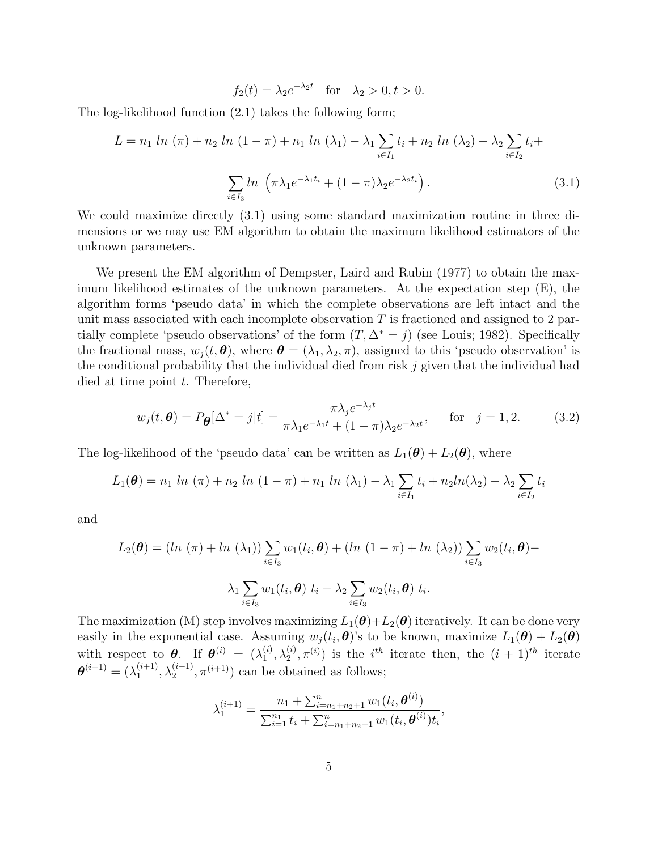$$
f_2(t) = \lambda_2 e^{-\lambda_2 t}
$$
 for  $\lambda_2 > 0, t > 0$ .

The log-likelihood function (2.1) takes the following form;

$$
L = n_1 \ln (\pi) + n_2 \ln (1 - \pi) + n_1 \ln (\lambda_1) - \lambda_1 \sum_{i \in I_1} t_i + n_2 \ln (\lambda_2) - \lambda_2 \sum_{i \in I_2} t_i + \sum_{i \in I_3} \ln (\pi \lambda_1 e^{-\lambda_1 t_i} + (1 - \pi) \lambda_2 e^{-\lambda_2 t_i}). \tag{3.1}
$$

We could maximize directly (3.1) using some standard maximization routine in three dimensions or we may use EM algorithm to obtain the maximum likelihood estimators of the unknown parameters.

We present the EM algorithm of Dempster, Laird and Rubin (1977) to obtain the maximum likelihood estimates of the unknown parameters. At the expectation step (E), the algorithm forms 'pseudo data' in which the complete observations are left intact and the unit mass associated with each incomplete observation  $T$  is fractioned and assigned to 2 partially complete 'pseudo observations' of the form  $(T, \Delta^* = j)$  (see Louis; 1982). Specifically the fractional mass,  $w_i(t, \theta)$ , where  $\theta = (\lambda_1, \lambda_2, \pi)$ , assigned to this 'pseudo observation' is the conditional probability that the individual died from risk  $j$  given that the individual had died at time point  $t$ . Therefore,

$$
w_j(t, \boldsymbol{\theta}) = P_{\boldsymbol{\theta}}[\Delta^* = j|t] = \frac{\pi \lambda_j e^{-\lambda_j t}}{\pi \lambda_1 e^{-\lambda_1 t} + (1 - \pi) \lambda_2 e^{-\lambda_2 t}}, \quad \text{for} \quad j = 1, 2. \tag{3.2}
$$

The log-likelihood of the 'pseudo data' can be written as  $L_1(\theta) + L_2(\theta)$ , where

$$
L_1(\boldsymbol{\theta}) = n_1 \ln (\pi) + n_2 \ln (1 - \pi) + n_1 \ln (\lambda_1) - \lambda_1 \sum_{i \in I_1} t_i + n_2 \ln(\lambda_2) - \lambda_2 \sum_{i \in I_2} t_i
$$

and

$$
L_2(\boldsymbol{\theta}) = (ln (\pi) + ln (\lambda_1)) \sum_{i \in I_3} w_1(t_i, \boldsymbol{\theta}) + (ln (1 - \pi) + ln (\lambda_2)) \sum_{i \in I_3} w_2(t_i, \boldsymbol{\theta}) -
$$

$$
\lambda_1 \sum_{i \in I_3} w_1(t_i, \boldsymbol{\theta}) \ t_i - \lambda_2 \sum_{i \in I_3} w_2(t_i, \boldsymbol{\theta}) \ t_i.
$$

The maximization (M) step involves maximizing  $L_1(\theta) + L_2(\theta)$  iteratively. It can be done very easily in the exponential case. Assuming  $w_j(t_i, \theta)$ 's to be known, maximize  $L_1(\theta) + L_2(\theta)$ with respect to  $\boldsymbol{\theta}$ . If  $\boldsymbol{\theta}^{(i)} = (\lambda_1^{(i)})$  $\stackrel{(i)}{1}, \lambda_2^{(i)}$  $\binom{1}{2}, \pi^{(i)}$  is the  $i^{th}$  iterate then, the  $(i + 1)^{th}$  iterate  $\boldsymbol{\theta}^{(i+1)}=(\lambda_1^{(i+1)}$  $\lambda_1^{(i+1)}, \lambda_2^{(i+1)}$  $\binom{(i+1)}{2}$ ,  $\pi^{(i+1)}$  can be obtained as follows;

$$
\lambda_1^{(i+1)} = \frac{n_1 + \sum_{i=n_1+n_2+1}^n w_1(t_i, \boldsymbol{\theta}^{(i)})}{\sum_{i=1}^{n_1} t_i + \sum_{i=n_1+n_2+1}^n w_1(t_i, \boldsymbol{\theta}^{(i)})t_i},
$$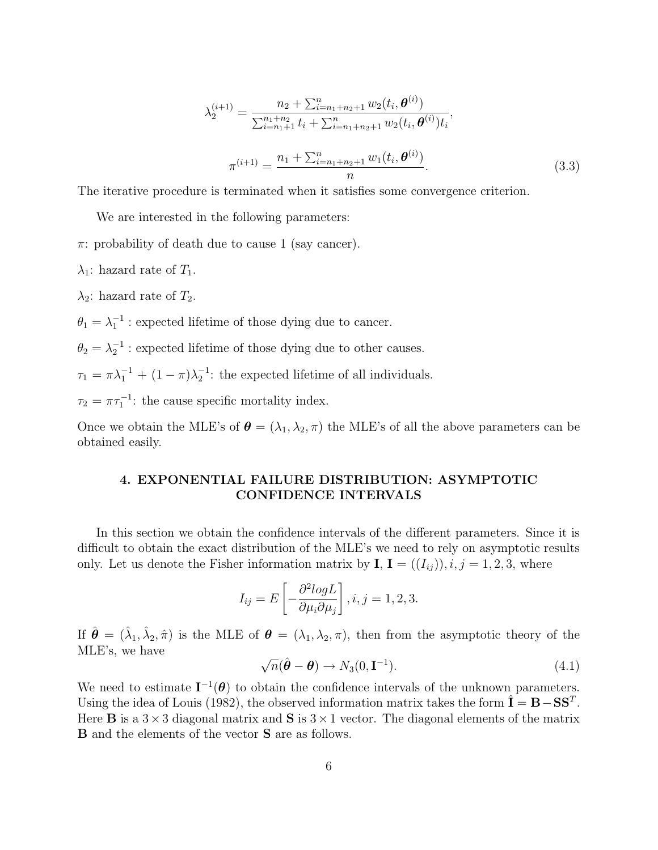$$
\lambda_2^{(i+1)} = \frac{n_2 + \sum_{i=n_1+n_2+1}^n w_2(t_i, \boldsymbol{\theta}^{(i)})}{\sum_{i=n_1+1}^{n_1+n_2} t_i + \sum_{i=n_1+n_2+1}^n w_2(t_i, \boldsymbol{\theta}^{(i)}) t_i},
$$

$$
\pi^{(i+1)} = \frac{n_1 + \sum_{i=n_1+n_2+1}^n w_1(t_i, \boldsymbol{\theta}^{(i)})}{n}.
$$
(3.3)

The iterative procedure is terminated when it satisfies some convergence criterion.

We are interested in the following parameters:

- $\pi$ : probability of death due to cause 1 (say cancer).
- $\lambda_1$ : hazard rate of  $T_1$ .

 $\lambda_2$ : hazard rate of  $T_2$ .

 $\theta_1 = \lambda_1^{-1}$ : expected lifetime of those dying due to cancer.

 $\theta_2 = \lambda_2^{-1}$ : expected lifetime of those dying due to other causes.

 $\tau_1 = \pi \lambda_1^{-1} + (1 - \pi) \lambda_2^{-1}$ : the expected lifetime of all individuals.

 $\tau_2 = \pi \tau_1^{-1}$ : the cause specific mortality index.

Once we obtain the MLE's of  $\boldsymbol{\theta} = (\lambda_1, \lambda_2, \pi)$  the MLE's of all the above parameters can be obtained easily.

## 4. EXPONENTIAL FAILURE DISTRIBUTION: ASYMPTOTIC CONFIDENCE INTERVALS

In this section we obtain the confidence intervals of the different parameters. Since it is difficult to obtain the exact distribution of the MLE's we need to rely on asymptotic results only. Let us denote the Fisher information matrix by  $I, I = ((I_{ij})), i, j = 1, 2, 3$ , where

$$
I_{ij} = E\left[-\frac{\partial^2 logL}{\partial \mu_i \partial \mu_j}\right], i, j = 1, 2, 3.
$$

If  $\hat{\theta} = (\hat{\lambda}_1, \hat{\lambda}_2, \hat{\pi})$  is the MLE of  $\theta = (\lambda_1, \lambda_2, \pi)$ , then from the asymptotic theory of the MLE's, we have

$$
\sqrt{n}(\hat{\boldsymbol{\theta}} - \boldsymbol{\theta}) \to N_3(0, \mathbf{I}^{-1}). \tag{4.1}
$$

We need to estimate  $I^{-1}(\theta)$  to obtain the confidence intervals of the unknown parameters. Using the idea of Louis (1982), the observed information matrix takes the form  $\hat{\mathbf{I}} = \mathbf{B} - \mathbf{S}\mathbf{S}^T$ . Here **B** is a  $3 \times 3$  diagonal matrix and **S** is  $3 \times 1$  vector. The diagonal elements of the matrix B and the elements of the vector S are as follows.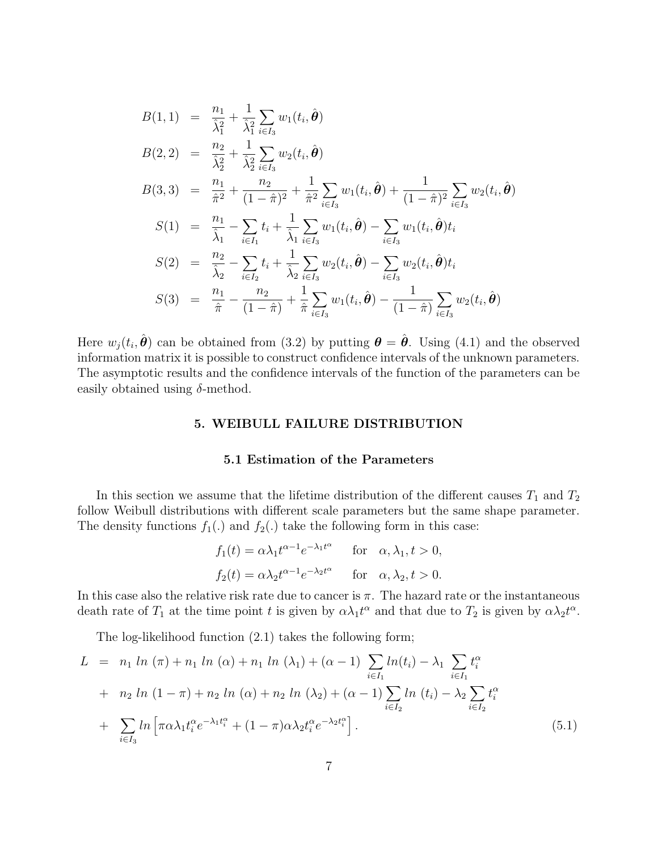$$
B(1,1) = \frac{n_1}{\hat{\lambda}_1^2} + \frac{1}{\hat{\lambda}_1^2} \sum_{i \in I_3} w_1(t_i, \hat{\theta})
$$
  
\n
$$
B(2,2) = \frac{n_2}{\hat{\lambda}_2^2} + \frac{1}{\hat{\lambda}_2^2} \sum_{i \in I_3} w_2(t_i, \hat{\theta})
$$
  
\n
$$
B(3,3) = \frac{n_1}{\hat{\pi}^2} + \frac{n_2}{(1-\hat{\pi})^2} + \frac{1}{\hat{\pi}^2} \sum_{i \in I_3} w_1(t_i, \hat{\theta}) + \frac{1}{(1-\hat{\pi})^2} \sum_{i \in I_3} w_2(t_i, \hat{\theta})
$$
  
\n
$$
S(1) = \frac{n_1}{\hat{\lambda}_1} - \sum_{i \in I_1} t_i + \frac{1}{\hat{\lambda}_1} \sum_{i \in I_3} w_1(t_i, \hat{\theta}) - \sum_{i \in I_3} w_1(t_i, \hat{\theta}) t_i
$$
  
\n
$$
S(2) = \frac{n_2}{\hat{\lambda}_2} - \sum_{i \in I_2} t_i + \frac{1}{\hat{\lambda}_2} \sum_{i \in I_3} w_2(t_i, \hat{\theta}) - \sum_{i \in I_3} w_2(t_i, \hat{\theta}) t_i
$$
  
\n
$$
S(3) = \frac{n_1}{\hat{\pi}} - \frac{n_2}{(1-\hat{\pi})} + \frac{1}{\hat{\pi}} \sum_{i \in I_3} w_1(t_i, \hat{\theta}) - \frac{1}{(1-\hat{\pi})} \sum_{i \in I_3} w_2(t_i, \hat{\theta})
$$

Here  $w_j(t_i, \hat{\theta})$  can be obtained from (3.2) by putting  $\theta = \hat{\theta}$ . Using (4.1) and the observed information matrix it is possible to construct confidence intervals of the unknown parameters. The asymptotic results and the confidence intervals of the function of the parameters can be easily obtained using  $\delta$ -method.

### 5. WEIBULL FAILURE DISTRIBUTION

## 5.1 Estimation of the Parameters

In this section we assume that the lifetime distribution of the different causes  $T_1$  and  $T_2$ follow Weibull distributions with different scale parameters but the same shape parameter. The density functions  $f_1(.)$  and  $f_2(.)$  take the following form in this case:

$$
f_1(t) = \alpha \lambda_1 t^{\alpha - 1} e^{-\lambda_1 t^{\alpha}} \quad \text{for} \quad \alpha, \lambda_1, t > 0,
$$
  

$$
f_2(t) = \alpha \lambda_2 t^{\alpha - 1} e^{-\lambda_2 t^{\alpha}} \quad \text{for} \quad \alpha, \lambda_2, t > 0.
$$

In this case also the relative risk rate due to cancer is  $\pi$ . The hazard rate or the instantaneous death rate of  $T_1$  at the time point t is given by  $\alpha \lambda_1 t^{\alpha}$  and that due to  $T_2$  is given by  $\alpha \lambda_2 t^{\alpha}$ .

The log-likelihood function (2.1) takes the following form;

$$
L = n_1 \ln (\pi) + n_1 \ln (\alpha) + n_1 \ln (\lambda_1) + (\alpha - 1) \sum_{i \in I_1} \ln(t_i) - \lambda_1 \sum_{i \in I_1} t_i^{\alpha} + n_2 \ln (1 - \pi) + n_2 \ln (\alpha) + n_2 \ln (\lambda_2) + (\alpha - 1) \sum_{i \in I_2} \ln (t_i) - \lambda_2 \sum_{i \in I_2} t_i^{\alpha} + \sum_{i \in I_3} \ln \left[ \pi \alpha \lambda_1 t_i^{\alpha} e^{-\lambda_1 t_i^{\alpha}} + (1 - \pi) \alpha \lambda_2 t_i^{\alpha} e^{-\lambda_2 t_i^{\alpha}} \right].
$$
 (5.1)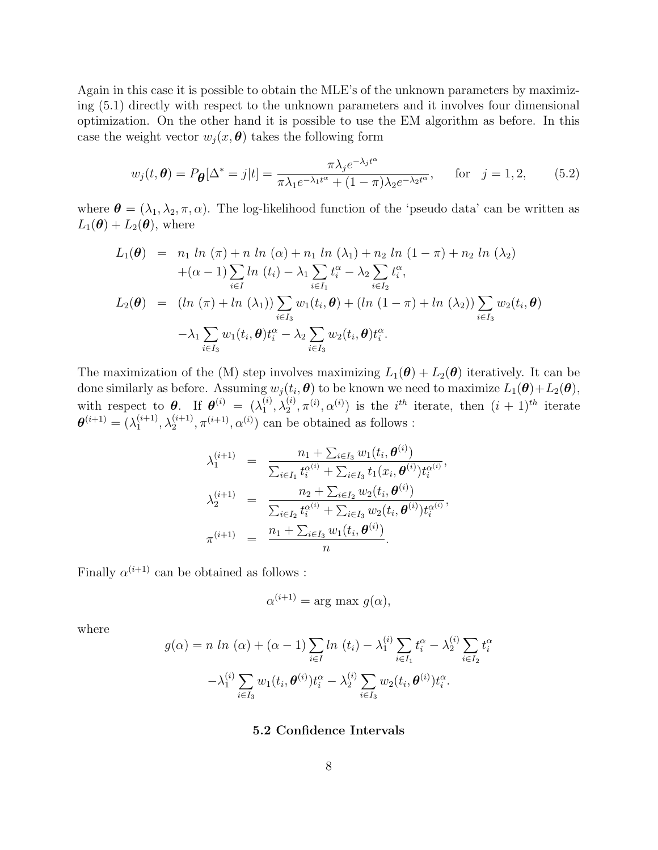Again in this case it is possible to obtain the MLE's of the unknown parameters by maximizing (5.1) directly with respect to the unknown parameters and it involves four dimensional optimization. On the other hand it is possible to use the EM algorithm as before. In this case the weight vector  $w_j(x, \theta)$  takes the following form

$$
w_j(t, \boldsymbol{\theta}) = P_{\boldsymbol{\theta}}[\Delta^* = j|t] = \frac{\pi \lambda_j e^{-\lambda_j t^{\alpha}}}{\pi \lambda_1 e^{-\lambda_1 t^{\alpha}} + (1 - \pi) \lambda_2 e^{-\lambda_2 t^{\alpha}}}, \quad \text{for} \quad j = 1, 2,
$$
 (5.2)

where  $\boldsymbol{\theta} = (\lambda_1, \lambda_2, \pi, \alpha)$ . The log-likelihood function of the 'pseudo data' can be written as  $L_1(\boldsymbol{\theta}) + L_2(\boldsymbol{\theta})$ , where

$$
L_1(\theta) = n_1 \ln (\pi) + n \ln (\alpha) + n_1 \ln (\lambda_1) + n_2 \ln (1 - \pi) + n_2 \ln (\lambda_2)
$$
  
+  $(\alpha - 1) \sum_{i \in I} \ln (t_i) - \lambda_1 \sum_{i \in I_1} t_i^{\alpha} - \lambda_2 \sum_{i \in I_2} t_i^{\alpha},$   

$$
L_2(\theta) = (\ln (\pi) + \ln (\lambda_1)) \sum_{i \in I_3} w_1(t_i, \theta) + (\ln (1 - \pi) + \ln (\lambda_2)) \sum_{i \in I_3} w_2(t_i, \theta)
$$
  
-  $\lambda_1 \sum_{i \in I_3} w_1(t_i, \theta) t_i^{\alpha} - \lambda_2 \sum_{i \in I_3} w_2(t_i, \theta) t_i^{\alpha}.$ 

The maximization of the (M) step involves maximizing  $L_1(\theta) + L_2(\theta)$  iteratively. It can be done similarly as before. Assuming  $w_j(t_i, \theta)$  to be known we need to maximize  $L_1(\theta) + L_2(\theta)$ , with respect to  $\boldsymbol{\theta}$ . If  $\boldsymbol{\theta}^{(i)} = (\lambda_1^{(i)})$  $_1^{\left( i\right) },\lambda _2^{\left( i\right) }$  $\chi_2^{(i)}$ ,  $\pi^{(i)}$ ,  $\alpha^{(i)}$ ) is the *i*<sup>th</sup> iterate, then  $(i + 1)$ <sup>th</sup> iterate  $\boldsymbol{\theta}^{(i+1)}=(\lambda_1^{(i+1)}$  $\lambda_1^{(i+1)}, \lambda_2^{(i+1)}$  $\alpha^{(i+1)}$ ,  $\pi^{(i+1)}$ ,  $\alpha^{(i)}$ ) can be obtained as follows :

$$
\lambda_1^{(i+1)} = \frac{n_1 + \sum_{i \in I_3} w_1(t_i, \boldsymbol{\theta}^{(i)})}{\sum_{i \in I_1} t_i^{\alpha^{(i)}} + \sum_{i \in I_3} t_1(x_i, \boldsymbol{\theta}^{(i)}) t_i^{\alpha^{(i)}}},
$$
  

$$
\lambda_2^{(i+1)} = \frac{n_2 + \sum_{i \in I_2} w_2(t_i, \boldsymbol{\theta}^{(i)})}{\sum_{i \in I_2} t_i^{\alpha^{(i)}} + \sum_{i \in I_3} w_2(t_i, \boldsymbol{\theta}^{(i)}) t_i^{\alpha^{(i)}}},
$$
  

$$
\pi^{(i+1)} = \frac{n_1 + \sum_{i \in I_3} w_1(t_i, \boldsymbol{\theta}^{(i)})}{n}.
$$

Finally  $\alpha^{(i+1)}$  can be obtained as follows :

$$
\alpha^{(i+1)} = \arg \max g(\alpha),
$$

where

$$
g(\alpha) = n \ln (\alpha) + (\alpha - 1) \sum_{i \in I} \ln (t_i) - \lambda_1^{(i)} \sum_{i \in I_1} t_i^{\alpha} - \lambda_2^{(i)} \sum_{i \in I_2} t_i^{\alpha}
$$

$$
-\lambda_1^{(i)} \sum_{i \in I_3} w_1(t_i, \theta^{(i)}) t_i^{\alpha} - \lambda_2^{(i)} \sum_{i \in I_3} w_2(t_i, \theta^{(i)}) t_i^{\alpha}.
$$

#### 5.2 Confidence Intervals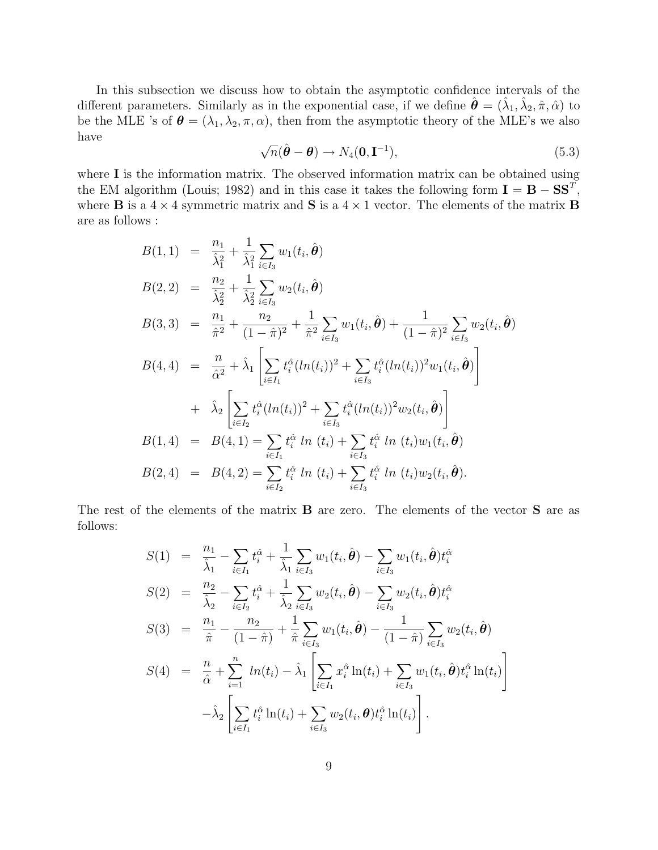In this subsection we discuss how to obtain the asymptotic confidence intervals of the different parameters. Similarly as in the exponential case, if we define  $\hat{\theta} = (\hat{\lambda}_1, \hat{\lambda}_2, \hat{\pi}, \hat{\alpha})$  to be the MLE 's of  $\boldsymbol{\theta} = (\lambda_1, \lambda_2, \pi, \alpha)$ , then from the asymptotic theory of the MLE's we also have

$$
\sqrt{n}(\hat{\boldsymbol{\theta}} - \boldsymbol{\theta}) \to N_4(\mathbf{0}, \mathbf{I}^{-1}), \tag{5.3}
$$

where **I** is the information matrix. The observed information matrix can be obtained using the EM algorithm (Louis; 1982) and in this case it takes the following form  $I = B - SS^T$ , where **B** is a  $4 \times 4$  symmetric matrix and **S** is a  $4 \times 1$  vector. The elements of the matrix **B** are as follows :

$$
B(1,1) = \frac{n_1}{\hat{\lambda}_1^2} + \frac{1}{\hat{\lambda}_1^2} \sum_{i \in I_3} w_1(t_i, \hat{\theta})
$$
  
\n
$$
B(2,2) = \frac{n_2}{\hat{\lambda}_2^2} + \frac{1}{\hat{\lambda}_2^2} \sum_{i \in I_3} w_2(t_i, \hat{\theta})
$$
  
\n
$$
B(3,3) = \frac{n_1}{\hat{\pi}^2} + \frac{n_2}{(1-\hat{\pi})^2} + \frac{1}{\hat{\pi}^2} \sum_{i \in I_3} w_1(t_i, \hat{\theta}) + \frac{1}{(1-\hat{\pi})^2} \sum_{i \in I_3} w_2(t_i, \hat{\theta})
$$
  
\n
$$
B(4,4) = \frac{n}{\hat{\alpha}^2} + \hat{\lambda}_1 \left[ \sum_{i \in I_1} t_i^{\hat{\alpha}} (ln(t_i))^2 + \sum_{i \in I_3} t_i^{\hat{\alpha}} (ln(t_i))^2 w_1(t_i, \hat{\theta}) \right]
$$
  
\n
$$
+ \hat{\lambda}_2 \left[ \sum_{i \in I_2} t_i^{\hat{\alpha}} (ln(t_i))^2 + \sum_{i \in I_3} t_i^{\hat{\alpha}} (ln(t_i))^2 w_2(t_i, \hat{\theta}) \right]
$$
  
\n
$$
B(1,4) = B(4,1) = \sum_{i \in I_1} t_i^{\hat{\alpha}} ln(t_i) + \sum_{i \in I_3} t_i^{\hat{\alpha}} ln(t_i) w_1(t_i, \hat{\theta})
$$
  
\n
$$
B(2,4) = B(4,2) = \sum_{i \in I_2} t_i^{\hat{\alpha}} ln(t_i) + \sum_{i \in I_3} t_i^{\hat{\alpha}} ln(t_i) w_2(t_i, \hat{\theta}).
$$

The rest of the elements of the matrix **B** are zero. The elements of the vector **S** are as follows:

$$
S(1) = \frac{n_1}{\hat{\lambda}_1} - \sum_{i \in I_1} t_i^{\hat{\alpha}} + \frac{1}{\hat{\lambda}_1} \sum_{i \in I_3} w_1(t_i, \hat{\boldsymbol{\theta}}) - \sum_{i \in I_3} w_1(t_i, \hat{\boldsymbol{\theta}}) t_i^{\hat{\alpha}}
$$
  
\n
$$
S(2) = \frac{n_2}{\hat{\lambda}_2} - \sum_{i \in I_2} t_i^{\hat{\alpha}} + \frac{1}{\hat{\lambda}_2} \sum_{i \in I_3} w_2(t_i, \hat{\boldsymbol{\theta}}) - \sum_{i \in I_3} w_2(t_i, \hat{\boldsymbol{\theta}}) t_i^{\hat{\alpha}}
$$
  
\n
$$
S(3) = \frac{n_1}{\hat{\pi}} - \frac{n_2}{(1 - \hat{\pi})} + \frac{1}{\hat{\pi}} \sum_{i \in I_3} w_1(t_i, \hat{\boldsymbol{\theta}}) - \frac{1}{(1 - \hat{\pi})} \sum_{i \in I_3} w_2(t_i, \hat{\boldsymbol{\theta}})
$$
  
\n
$$
S(4) = \frac{n}{\hat{\alpha}} + \sum_{i=1}^n ln(t_i) - \hat{\lambda}_1 \left[ \sum_{i \in I_1} x_i^{\hat{\alpha}} ln(t_i) + \sum_{i \in I_3} w_1(t_i, \hat{\boldsymbol{\theta}}) t_i^{\hat{\alpha}} ln(t_i) \right]
$$
  
\n
$$
- \hat{\lambda}_2 \left[ \sum_{i \in I_1} t_i^{\hat{\alpha}} ln(t_i) + \sum_{i \in I_3} w_2(t_i, \boldsymbol{\theta}) t_i^{\hat{\alpha}} ln(t_i) \right].
$$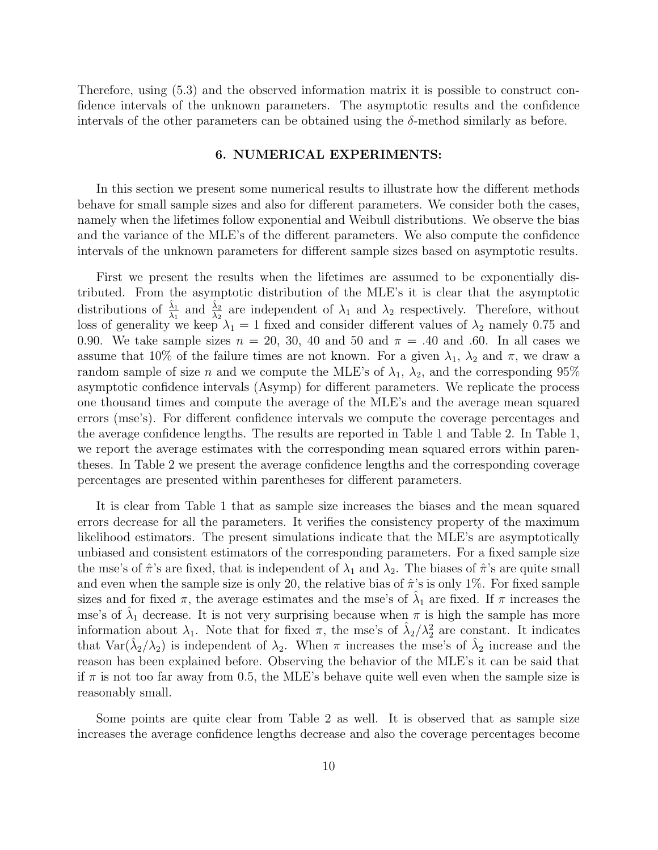Therefore, using (5.3) and the observed information matrix it is possible to construct confidence intervals of the unknown parameters. The asymptotic results and the confidence intervals of the other parameters can be obtained using the δ-method similarly as before.

### 6. NUMERICAL EXPERIMENTS:

In this section we present some numerical results to illustrate how the different methods behave for small sample sizes and also for different parameters. We consider both the cases, namely when the lifetimes follow exponential and Weibull distributions. We observe the bias and the variance of the MLE's of the different parameters. We also compute the confidence intervals of the unknown parameters for different sample sizes based on asymptotic results.

First we present the results when the lifetimes are assumed to be exponentially distributed. From the asymptotic distribution of the MLE's it is clear that the asymptotic distributions of  $\frac{\hat{\lambda}_1}{\lambda_1}$  and  $\frac{\hat{\lambda}_2}{\lambda_2}$  are independent of  $\lambda_1$  and  $\lambda_2$  respectively. Therefore, without loss of generality we keep  $\lambda_1 = 1$  fixed and consider different values of  $\lambda_2$  namely 0.75 and 0.90. We take sample sizes  $n = 20, 30, 40$  and  $50$  and  $\pi = .40$  and .60. In all cases we assume that 10% of the failure times are not known. For a given  $\lambda_1$ ,  $\lambda_2$  and  $\pi$ , we draw a random sample of size n and we compute the MLE's of  $\lambda_1$ ,  $\lambda_2$ , and the corresponding 95% asymptotic confidence intervals (Asymp) for different parameters. We replicate the process one thousand times and compute the average of the MLE's and the average mean squared errors (mse's). For different confidence intervals we compute the coverage percentages and the average confidence lengths. The results are reported in Table 1 and Table 2. In Table 1, we report the average estimates with the corresponding mean squared errors within parentheses. In Table 2 we present the average confidence lengths and the corresponding coverage percentages are presented within parentheses for different parameters.

It is clear from Table 1 that as sample size increases the biases and the mean squared errors decrease for all the parameters. It verifies the consistency property of the maximum likelihood estimators. The present simulations indicate that the MLE's are asymptotically unbiased and consistent estimators of the corresponding parameters. For a fixed sample size the mse's of  $\hat{\pi}$ 's are fixed, that is independent of  $\lambda_1$  and  $\lambda_2$ . The biases of  $\hat{\pi}$ 's are quite small and even when the sample size is only 20, the relative bias of  $\hat{\pi}$ 's is only 1%. For fixed sample sizes and for fixed  $\pi$ , the average estimates and the mse's of  $\hat{\lambda}_1$  are fixed. If  $\pi$  increases the mse's of  $\hat{\lambda}_1$  decrease. It is not very surprising because when  $\pi$  is high the sample has more information about  $\lambda_1$ . Note that for fixed  $\pi$ , the mse's of  $\hat{\lambda}_2/\lambda_2^2$  are constant. It indicates that  $\text{Var}(\hat{\lambda}_2/\lambda_2)$  is independent of  $\lambda_2$ . When  $\pi$  increases the mse's of  $\hat{\lambda}_2$  increase and the reason has been explained before. Observing the behavior of the MLE's it can be said that if  $\pi$  is not too far away from 0.5, the MLE's behave quite well even when the sample size is reasonably small.

Some points are quite clear from Table 2 as well. It is observed that as sample size increases the average confidence lengths decrease and also the coverage percentages become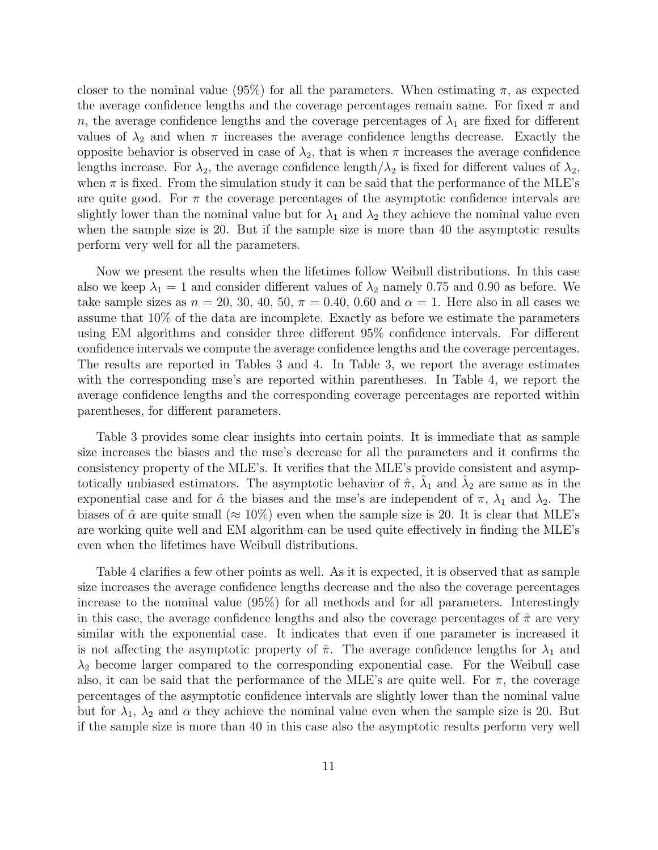closer to the nominal value (95%) for all the parameters. When estimating  $\pi$ , as expected the average confidence lengths and the coverage percentages remain same. For fixed  $\pi$  and n, the average confidence lengths and the coverage percentages of  $\lambda_1$  are fixed for different values of  $\lambda_2$  and when  $\pi$  increases the average confidence lengths decrease. Exactly the opposite behavior is observed in case of  $\lambda_2$ , that is when  $\pi$  increases the average confidence lengths increase. For  $\lambda_2$ , the average confidence length $\lambda_2$  is fixed for different values of  $\lambda_2$ , when  $\pi$  is fixed. From the simulation study it can be said that the performance of the MLE's are quite good. For  $\pi$  the coverage percentages of the asymptotic confidence intervals are slightly lower than the nominal value but for  $\lambda_1$  and  $\lambda_2$  they achieve the nominal value even when the sample size is 20. But if the sample size is more than 40 the asymptotic results perform very well for all the parameters.

Now we present the results when the lifetimes follow Weibull distributions. In this case also we keep  $\lambda_1 = 1$  and consider different values of  $\lambda_2$  namely 0.75 and 0.90 as before. We take sample sizes as  $n = 20, 30, 40, 50, \pi = 0.40, 0.60$  and  $\alpha = 1$ . Here also in all cases we assume that 10% of the data are incomplete. Exactly as before we estimate the parameters using EM algorithms and consider three different 95% confidence intervals. For different confidence intervals we compute the average confidence lengths and the coverage percentages. The results are reported in Tables 3 and 4. In Table 3, we report the average estimates with the corresponding mse's are reported within parentheses. In Table 4, we report the average confidence lengths and the corresponding coverage percentages are reported within parentheses, for different parameters.

Table 3 provides some clear insights into certain points. It is immediate that as sample size increases the biases and the mse's decrease for all the parameters and it confirms the consistency property of the MLE's. It verifies that the MLE's provide consistent and asymptotically unbiased estimators. The asymptotic behavior of  $\hat{\pi}$ ,  $\hat{\lambda}_1$  and  $\hat{\lambda}_2$  are same as in the exponential case and for  $\hat{\alpha}$  the biases and the mse's are independent of  $\pi$ ,  $\lambda_1$  and  $\lambda_2$ . The biases of  $\hat{\alpha}$  are quite small ( $\approx 10\%$ ) even when the sample size is 20. It is clear that MLE's are working quite well and EM algorithm can be used quite effectively in finding the MLE's even when the lifetimes have Weibull distributions.

Table 4 clarifies a few other points as well. As it is expected, it is observed that as sample size increases the average confidence lengths decrease and the also the coverage percentages increase to the nominal value (95%) for all methods and for all parameters. Interestingly in this case, the average confidence lengths and also the coverage percentages of  $\hat{\pi}$  are very similar with the exponential case. It indicates that even if one parameter is increased it is not affecting the asymptotic property of  $\hat{\pi}$ . The average confidence lengths for  $\lambda_1$  and  $\lambda_2$  become larger compared to the corresponding exponential case. For the Weibull case also, it can be said that the performance of the MLE's are quite well. For  $\pi$ , the coverage percentages of the asymptotic confidence intervals are slightly lower than the nominal value but for  $\lambda_1$ ,  $\lambda_2$  and  $\alpha$  they achieve the nominal value even when the sample size is 20. But if the sample size is more than 40 in this case also the asymptotic results perform very well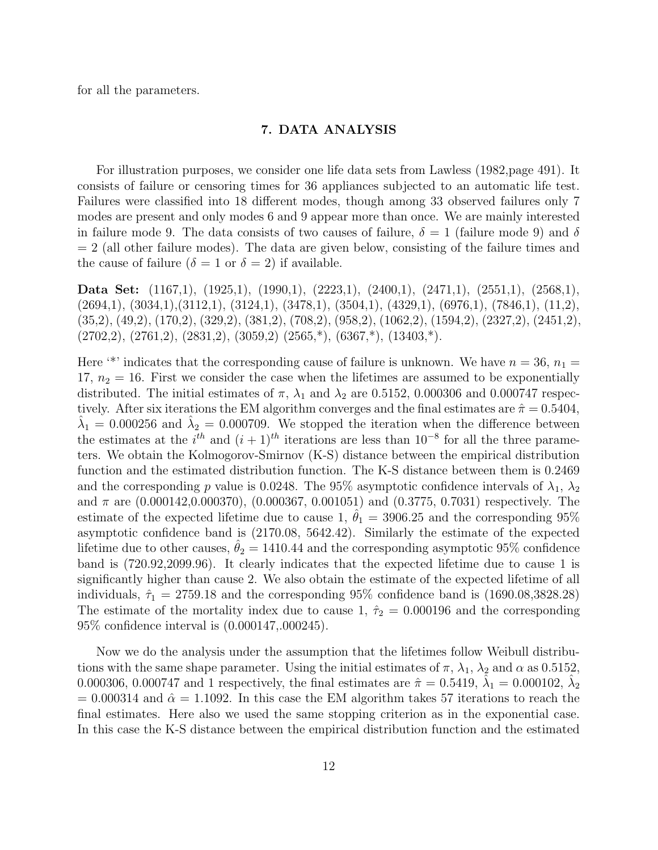for all the parameters.

### 7. DATA ANALYSIS

For illustration purposes, we consider one life data sets from Lawless (1982,page 491). It consists of failure or censoring times for 36 appliances subjected to an automatic life test. Failures were classified into 18 different modes, though among 33 observed failures only 7 modes are present and only modes 6 and 9 appear more than once. We are mainly interested in failure mode 9. The data consists of two causes of failure,  $\delta = 1$  (failure mode 9) and  $\delta$  $= 2$  (all other failure modes). The data are given below, consisting of the failure times and the cause of failure  $(\delta = 1 \text{ or } \delta = 2)$  if available.

Data Set: (1167,1), (1925,1), (1990,1), (2223,1), (2400,1), (2471,1), (2551,1), (2568,1),  $(2694,1), (3034,1), (3112,1), (3124,1), (3478,1), (3504,1), (4329,1), (6976,1), (7846,1), (11,2),$ (35,2), (49,2), (170,2), (329,2), (381,2), (708,2), (958,2), (1062,2), (1594,2), (2327,2), (2451,2),  $(2702,2), (2761,2), (2831,2), (3059,2), (2565,*), (6367,*), (13403,*)$ .

Here '\*' indicates that the corresponding cause of failure is unknown. We have  $n = 36$ ,  $n_1 =$ 17,  $n_2 = 16$ . First we consider the case when the lifetimes are assumed to be exponentially distributed. The initial estimates of  $\pi$ ,  $\lambda_1$  and  $\lambda_2$  are 0.5152, 0.000306 and 0.000747 respectively. After six iterations the EM algorithm converges and the final estimates are  $\hat{\pi} = 0.5404$ ,  $\hat{\lambda}_1 = 0.000256$  and  $\hat{\lambda}_2 = 0.000709$ . We stopped the iteration when the difference between the estimates at the  $i^{th}$  and  $(i + 1)^{th}$  iterations are less than  $10^{-8}$  for all the three parameters. We obtain the Kolmogorov-Smirnov (K-S) distance between the empirical distribution function and the estimated distribution function. The K-S distance between them is 0.2469 and the corresponding p value is 0.0248. The 95% asymptotic confidence intervals of  $\lambda_1$ ,  $\lambda_2$ and  $\pi$  are  $(0.000142, 0.000370)$ ,  $(0.000367, 0.001051)$  and  $(0.3775, 0.7031)$  respectively. The estimate of the expected lifetime due to cause 1,  $\theta_1 = 3906.25$  and the corresponding 95% asymptotic confidence band is (2170.08, 5642.42). Similarly the estimate of the expected lifetime due to other causes,  $\ddot{\theta}_2 = 1410.44$  and the corresponding asymptotic 95% confidence band is (720.92,2099.96). It clearly indicates that the expected lifetime due to cause 1 is significantly higher than cause 2. We also obtain the estimate of the expected lifetime of all individuals,  $\hat{\tau}_1 = 2759.18$  and the corresponding 95% confidence band is (1690.08,3828.28) The estimate of the mortality index due to cause 1,  $\hat{\tau}_2 = 0.000196$  and the corresponding 95% confidence interval is (0.000147,.000245).

Now we do the analysis under the assumption that the lifetimes follow Weibull distributions with the same shape parameter. Using the initial estimates of  $\pi$ ,  $\lambda_1$ ,  $\lambda_2$  and  $\alpha$  as 0.5152, 0.000306, 0.000747 and 1 respectively, the final estimates are  $\hat{\pi} = 0.5419, \hat{\lambda}_1 = 0.000102, \hat{\lambda}_2$  $= 0.000314$  and  $\hat{\alpha} = 1.1092$ . In this case the EM algorithm takes 57 iterations to reach the final estimates. Here also we used the same stopping criterion as in the exponential case. In this case the K-S distance between the empirical distribution function and the estimated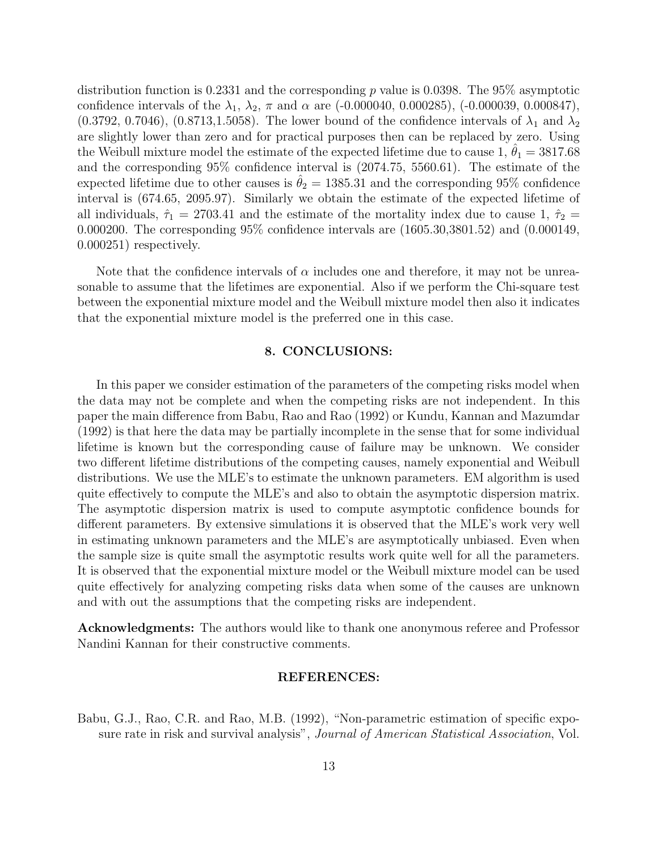distribution function is 0.2331 and the corresponding p value is 0.0398. The 95% asymptotic confidence intervals of the  $\lambda_1$ ,  $\lambda_2$ ,  $\pi$  and  $\alpha$  are (-0.000040, 0.000285), (-0.000039, 0.000847),  $(0.3792, 0.7046), (0.8713, 1.5058)$ . The lower bound of the confidence intervals of  $\lambda_1$  and  $\lambda_2$ are slightly lower than zero and for practical purposes then can be replaced by zero. Using the Weibull mixture model the estimate of the expected lifetime due to cause 1,  $\theta_1 = 3817.68$ and the corresponding 95% confidence interval is (2074.75, 5560.61). The estimate of the expected lifetime due to other causes is  $\theta_2 = 1385.31$  and the corresponding 95% confidence interval is (674.65, 2095.97). Similarly we obtain the estimate of the expected lifetime of all individuals,  $\hat{\tau}_1 = 2703.41$  and the estimate of the mortality index due to cause 1,  $\hat{\tau}_2$  = 0.000200. The corresponding 95% confidence intervals are (1605.30,3801.52) and (0.000149, 0.000251) respectively.

Note that the confidence intervals of  $\alpha$  includes one and therefore, it may not be unreasonable to assume that the lifetimes are exponential. Also if we perform the Chi-square test between the exponential mixture model and the Weibull mixture model then also it indicates that the exponential mixture model is the preferred one in this case.

#### 8. CONCLUSIONS:

In this paper we consider estimation of the parameters of the competing risks model when the data may not be complete and when the competing risks are not independent. In this paper the main difference from Babu, Rao and Rao (1992) or Kundu, Kannan and Mazumdar (1992) is that here the data may be partially incomplete in the sense that for some individual lifetime is known but the corresponding cause of failure may be unknown. We consider two different lifetime distributions of the competing causes, namely exponential and Weibull distributions. We use the MLE's to estimate the unknown parameters. EM algorithm is used quite effectively to compute the MLE's and also to obtain the asymptotic dispersion matrix. The asymptotic dispersion matrix is used to compute asymptotic confidence bounds for different parameters. By extensive simulations it is observed that the MLE's work very well in estimating unknown parameters and the MLE's are asymptotically unbiased. Even when the sample size is quite small the asymptotic results work quite well for all the parameters. It is observed that the exponential mixture model or the Weibull mixture model can be used quite effectively for analyzing competing risks data when some of the causes are unknown and with out the assumptions that the competing risks are independent.

Acknowledgments: The authors would like to thank one anonymous referee and Professor Nandini Kannan for their constructive comments.

#### REFERENCES:

Babu, G.J., Rao, C.R. and Rao, M.B. (1992), "Non-parametric estimation of specific exposure rate in risk and survival analysis", *Journal of American Statistical Association*, Vol.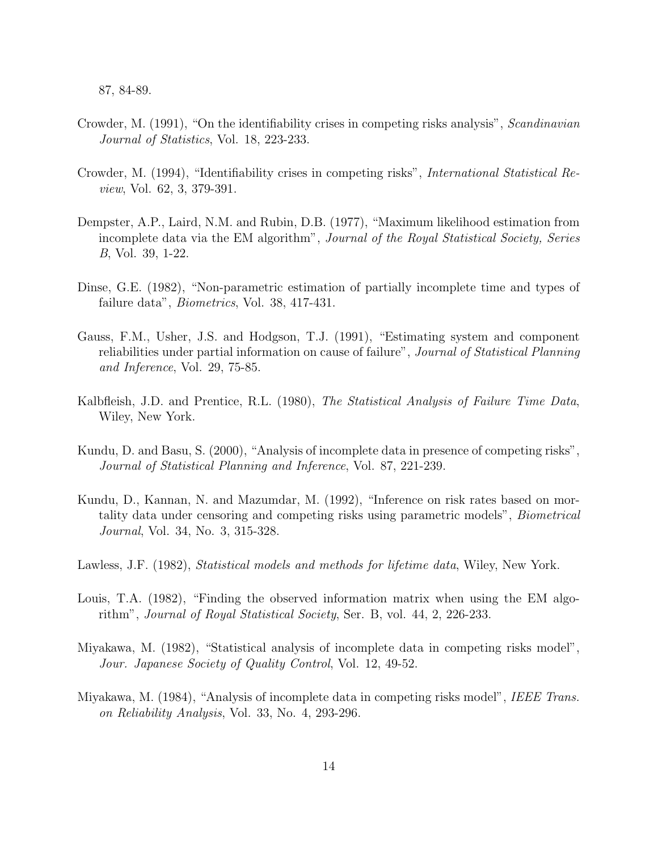87, 84-89.

- Crowder, M. (1991), "On the identifiability crises in competing risks analysis", Scandinavian Journal of Statistics, Vol. 18, 223-233.
- Crowder, M. (1994), "Identifiability crises in competing risks", International Statistical Review, Vol. 62, 3, 379-391.
- Dempster, A.P., Laird, N.M. and Rubin, D.B. (1977), "Maximum likelihood estimation from incomplete data via the EM algorithm", Journal of the Royal Statistical Society, Series B, Vol. 39, 1-22.
- Dinse, G.E. (1982), "Non-parametric estimation of partially incomplete time and types of failure data", Biometrics, Vol. 38, 417-431.
- Gauss, F.M., Usher, J.S. and Hodgson, T.J. (1991), "Estimating system and component reliabilities under partial information on cause of failure", Journal of Statistical Planning and Inference, Vol. 29, 75-85.
- Kalbfleish, J.D. and Prentice, R.L. (1980), The Statistical Analysis of Failure Time Data, Wiley, New York.
- Kundu, D. and Basu, S. (2000), "Analysis of incomplete data in presence of competing risks", Journal of Statistical Planning and Inference, Vol. 87, 221-239.
- Kundu, D., Kannan, N. and Mazumdar, M. (1992), "Inference on risk rates based on mortality data under censoring and competing risks using parametric models", Biometrical Journal, Vol. 34, No. 3, 315-328.
- Lawless, J.F. (1982), *Statistical models and methods for lifetime data*, Wiley, New York.
- Louis, T.A. (1982), "Finding the observed information matrix when using the EM algorithm", Journal of Royal Statistical Society, Ser. B, vol. 44, 2, 226-233.
- Miyakawa, M. (1982), "Statistical analysis of incomplete data in competing risks model", Jour. Japanese Society of Quality Control, Vol. 12, 49-52.
- Miyakawa, M. (1984), "Analysis of incomplete data in competing risks model", IEEE Trans. on Reliability Analysis, Vol. 33, No. 4, 293-296.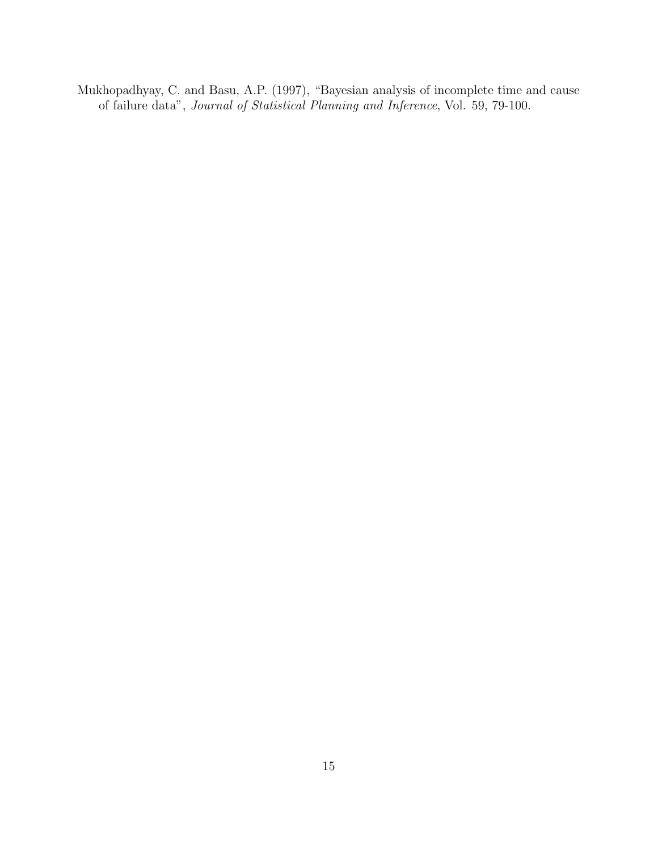Mukhopadhyay, C. and Basu, A.P. (1997), "Bayesian analysis of incomplete time and cause of failure data", Journal of Statistical Planning and Inference, Vol. 59, 79-100.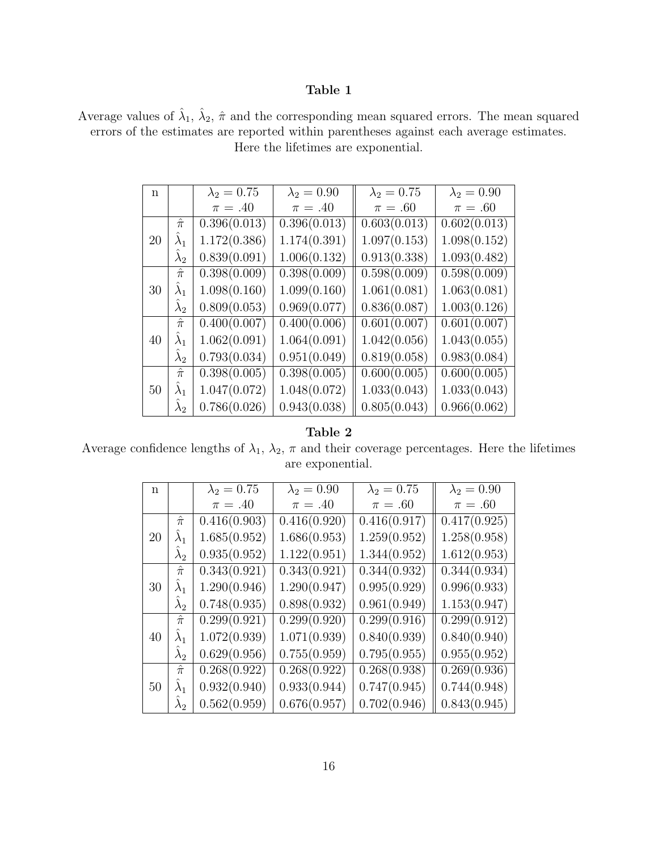## Table 1

Average values of  $\hat{\lambda}_1$ ,  $\hat{\lambda}_2$ ,  $\hat{\pi}$  and the corresponding mean squared errors. The mean squared errors of the estimates are reported within parentheses against each average estimates. Here the lifetimes are exponential.

| n  |             | $\lambda_2 = 0.75$ | $\lambda_2 = 0.90$ | $\lambda_2 = 0.75$ | $\lambda_2 = 0.90$ |
|----|-------------|--------------------|--------------------|--------------------|--------------------|
|    |             | $\pi=.40$          | $\pi=.40$          | $\pi=.60$          | $\pi=.60$          |
|    | $\hat{\pi}$ | 0.396(0.013)       | 0.396(0.013)       | 0.603(0.013)       | 0.602(0.013)       |
| 20 | $\lambda_1$ | 1.172(0.386)       | 1.174(0.391)       | 1.097(0.153)       | 1.098(0.152)       |
|    | $\lambda_2$ | 0.839(0.091)       | 1.006(0.132)       | 0.913(0.338)       | 1.093(0.482)       |
|    | $\hat{\pi}$ | 0.398(0.009)       | 0.398(0.009)       | 0.598(0.009)       | 0.598(0.009)       |
| 30 | $\lambda_1$ | 1.098(0.160)       | 1.099(0.160)       | 1.061(0.081)       | 1.063(0.081)       |
|    | $\lambda_2$ | 0.809(0.053)       | 0.969(0.077)       | 0.836(0.087)       | 1.003(0.126)       |
|    | $\hat{\pi}$ | 0.400(0.007)       | 0.400(0.006)       | 0.601(0.007)       | 0.601(0.007)       |
| 40 | $\lambda_1$ | 1.062(0.091)       | 1.064(0.091)       | 1.042(0.056)       | 1.043(0.055)       |
|    | $\lambda_2$ | 0.793(0.034)       | 0.951(0.049)       | 0.819(0.058)       | 0.983(0.084)       |
|    | $\hat{\pi}$ | 0.398(0.005)       | 0.398(0.005)       | 0.600(0.005)       | 0.600(0.005)       |
| 50 | $\lambda_1$ | 1.047(0.072)       | 1.048(0.072)       | 1.033(0.043)       | 1.033(0.043)       |
|    | $\lambda_2$ | 0.786(0.026)       | 0.943(0.038)       | 0.805(0.043)       | 0.966(0.062)       |

## Table 2

Average confidence lengths of  $\lambda_1$ ,  $\lambda_2$ ,  $\pi$  and their coverage percentages. Here the lifetimes are exponential.

| n. |             | $\lambda_2 = 0.75$ | $\lambda_2 = 0.90$ | $\lambda_2 = 0.75$ | $\lambda_2 = 0.90$        |
|----|-------------|--------------------|--------------------|--------------------|---------------------------|
|    |             | $\pi=.40$          | $\pi=.40$          | $\pi=.60$          | $\pi=.60$                 |
|    | $\hat{\pi}$ | 0.416(0.903)       | 0.416(0.920)       | 0.416(0.917)       | 0.417(0.925)              |
| 20 | $\lambda_1$ | 1.685(0.952)       | 1.686(0.953)       | 1.259(0.952)       | 1.258(0.958)              |
|    | $\lambda_2$ | 0.935(0.952)       | 1.122(0.951)       | 1.344(0.952)       | 1.612(0.953)              |
|    | $\hat{\pi}$ | 0.343(0.921)       | 0.343(0.921)       | 0.344(0.932)       | 0.344(0.934)              |
| 30 | $\lambda_1$ | 1.290(0.946)       | 1.290(0.947)       | 0.995(0.929)       | 0.996(0.933)              |
|    | $\lambda_2$ | 0.748(0.935)       | 0.898(0.932)       | 0.961(0.949)       | 1.153(0.947)              |
|    | $\hat{\pi}$ | 0.299(0.921)       | 0.299(0.920)       | 0.299(0.916)       | $\overline{0.2}99(0.912)$ |
| 40 | $\lambda_1$ | 1.072(0.939)       | 1.071(0.939)       | 0.840(0.939)       | 0.840(0.940)              |
|    | $\lambda_2$ | 0.629(0.956)       | 0.755(0.959)       | 0.795(0.955)       | 0.955(0.952)              |
| 50 | $\hat{\pi}$ | 0.268(0.922)       | 0.268(0.922)       | 0.268(0.938)       | 0.269(0.936)              |
|    | $\lambda_1$ | 0.932(0.940)       | 0.933(0.944)       | 0.747(0.945)       | 0.744(0.948)              |
|    | $\lambda_2$ | 0.562(0.959)       | 0.676(0.957)       | 0.702(0.946)       | 0.843(0.945)              |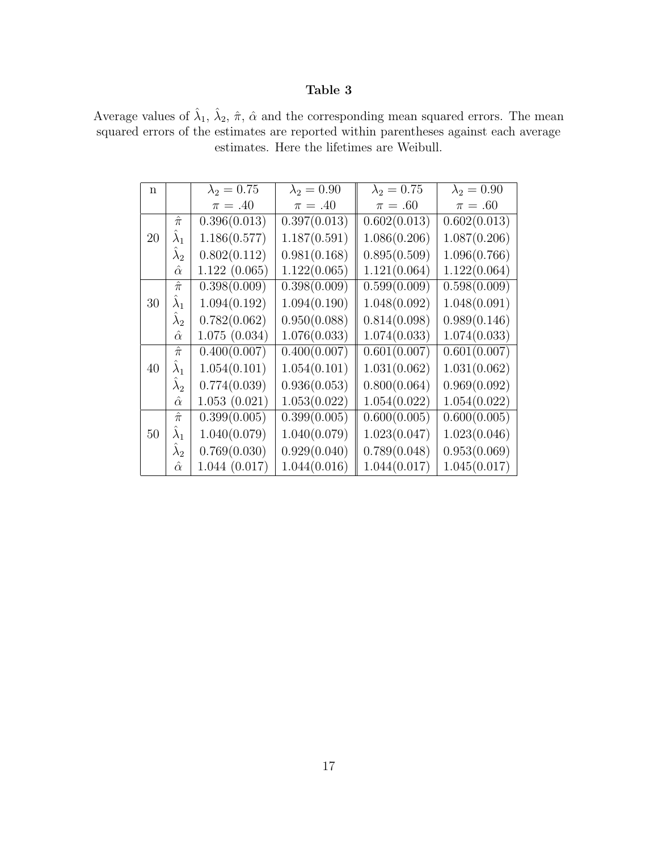## Table 3

Average values of  $\hat{\lambda}_1$ ,  $\hat{\lambda}_2$ ,  $\hat{\pi}$ ,  $\hat{\alpha}$  and the corresponding mean squared errors. The mean squared errors of the estimates are reported within parentheses against each average estimates. Here the lifetimes are Weibull.

| n  |                | $\lambda_2 = 0.75$ | $\lambda_2 = 0.90$ | $\lambda_2 = 0.75$ | $\lambda_2 = 0.90$        |
|----|----------------|--------------------|--------------------|--------------------|---------------------------|
|    |                | $\pi=.40$          | $\pi = .40$        | $\pi=.60$          | $\pi=.60$                 |
|    | $\hat{\pi}$    | 0.396(0.013)       | 0.397(0.013)       | 0.602(0.013)       | 0.602(0.013)              |
| 20 | $\lambda_1$    | 1.186(0.577)       | 1.187(0.591)       | 1.086(0.206)       | 1.087(0.206)              |
|    | $\lambda_2$    | 0.802(0.112)       | 0.981(0.168)       | 0.895(0.509)       | 1.096(0.766)              |
|    | $\hat{\alpha}$ | 1.122(0.065)       | 1.122(0.065)       | 1.121(0.064)       | 1.122(0.064)              |
|    | $\hat{\pi}$    | 0.398(0.009)       | 0.398(0.009)       | 0.599(0.009)       | 0.598(0.009)              |
| 30 | $\lambda_1$    | 1.094(0.192)       | 1.094(0.190)       | 1.048(0.092)       | 1.048(0.091)              |
|    | $\lambda_2$    | 0.782(0.062)       | 0.950(0.088)       | 0.814(0.098)       | 0.989(0.146)              |
|    | $\hat{\alpha}$ | 1.075(0.034)       | 1.076(0.033)       | 1.074(0.033)       | 1.074(0.033)              |
|    | $\hat{\pi}$    | 0.400(0.007)       | 0.400(0.007)       | 0.601(0.007)       | 0.601(0.007)              |
| 40 | $\lambda_1$    | 1.054(0.101)       | 1.054(0.101)       | 1.031(0.062)       | 1.031(0.062)              |
|    | $\lambda_2$    | 0.774(0.039)       | 0.936(0.053)       | 0.800(0.064)       | 0.969(0.092)              |
|    | $\hat{\alpha}$ | 1.053(0.021)       | 1.053(0.022)       | 1.054(0.022)       | 1.054(0.022)              |
|    | $\hat{\pi}$    | 0.399(0.005)       | 0.399(0.005)       | 0.600(0.005)       | $\overline{0.600(0.005)}$ |
| 50 | $\lambda_1$    | 1.040(0.079)       | 1.040(0.079)       | 1.023(0.047)       | 1.023(0.046)              |
|    | $\lambda_2$    | 0.769(0.030)       | 0.929(0.040)       | 0.789(0.048)       | 0.953(0.069)              |
|    | $\hat{\alpha}$ | 1.044(0.017)       | 1.044(0.016)       | 1.044(0.017)       | 1.045(0.017)              |